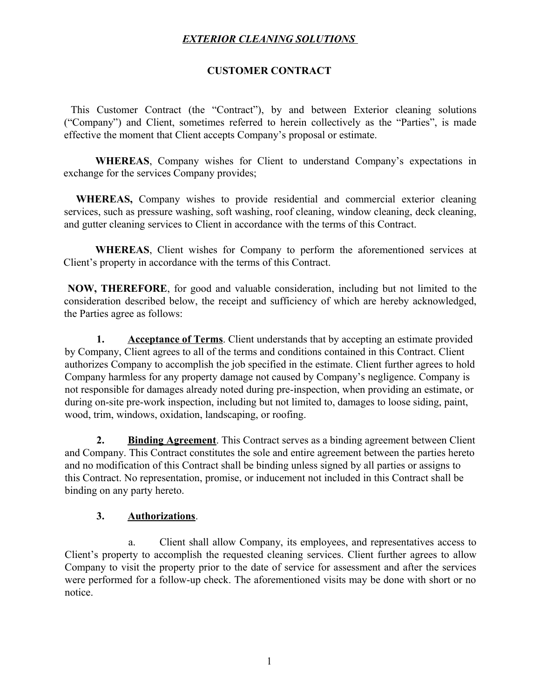### **CUSTOMER CONTRACT**

 This Customer Contract (the "Contract"), by and between Exterior cleaning solutions ("Company") and Client, sometimes referred to herein collectively as the "Parties", is made effective the moment that Client accepts Company's proposal or estimate.

**WHEREAS**, Company wishes for Client to understand Company's expectations in exchange for the services Company provides;

 **WHEREAS,** Company wishes to provide residential and commercial exterior cleaning services, such as pressure washing, soft washing, roof cleaning, window cleaning, deck cleaning, and gutter cleaning services to Client in accordance with the terms of this Contract.

**WHEREAS**, Client wishes for Company to perform the aforementioned services at Client's property in accordance with the terms of this Contract.

**NOW, THEREFORE**, for good and valuable consideration, including but not limited to the consideration described below, the receipt and sufficiency of which are hereby acknowledged, the Parties agree as follows:

**1. Acceptance of Terms**. Client understands that by accepting an estimate provided by Company, Client agrees to all of the terms and conditions contained in this Contract. Client authorizes Company to accomplish the job specified in the estimate. Client further agrees to hold Company harmless for any property damage not caused by Company's negligence. Company is not responsible for damages already noted during pre-inspection, when providing an estimate, or during on-site pre-work inspection, including but not limited to, damages to loose siding, paint, wood, trim, windows, oxidation, landscaping, or roofing.

**2. Binding Agreement**. This Contract serves as a binding agreement between Client and Company. This Contract constitutes the sole and entire agreement between the parties hereto and no modification of this Contract shall be binding unless signed by all parties or assigns to this Contract. No representation, promise, or inducement not included in this Contract shall be binding on any party hereto.

#### **3. Authorizations**.

a. Client shall allow Company, its employees, and representatives access to Client's property to accomplish the requested cleaning services. Client further agrees to allow Company to visit the property prior to the date of service for assessment and after the services were performed for a follow-up check. The aforementioned visits may be done with short or no notice.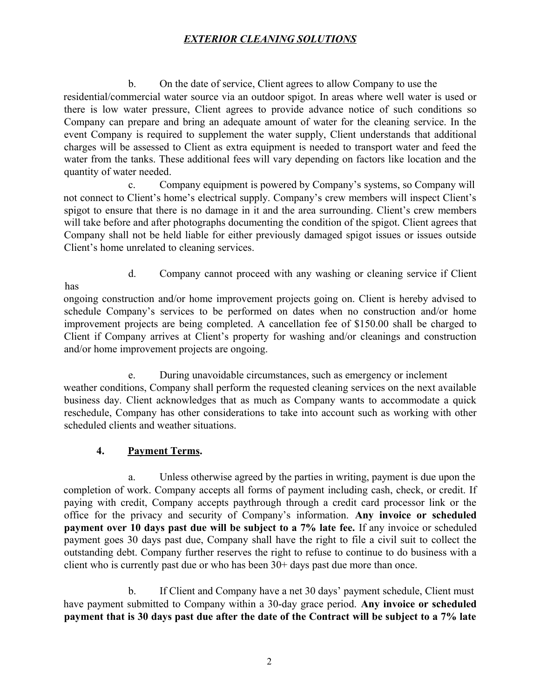b. On the date of service, Client agrees to allow Company to use the residential/commercial water source via an outdoor spigot. In areas where well water is used or there is low water pressure, Client agrees to provide advance notice of such conditions so Company can prepare and bring an adequate amount of water for the cleaning service. In the event Company is required to supplement the water supply, Client understands that additional charges will be assessed to Client as extra equipment is needed to transport water and feed the water from the tanks. These additional fees will vary depending on factors like location and the quantity of water needed.

c. Company equipment is powered by Company's systems, so Company will not connect to Client's home's electrical supply. Company's crew members will inspect Client's spigot to ensure that there is no damage in it and the area surrounding. Client's crew members will take before and after photographs documenting the condition of the spigot. Client agrees that Company shall not be held liable for either previously damaged spigot issues or issues outside Client's home unrelated to cleaning services.

d. Company cannot proceed with any washing or cleaning service if Client

ongoing construction and/or home improvement projects going on. Client is hereby advised to schedule Company's services to be performed on dates when no construction and/or home improvement projects are being completed. A cancellation fee of \$150.00 shall be charged to Client if Company arrives at Client's property for washing and/or cleanings and construction and/or home improvement projects are ongoing.

e. During unavoidable circumstances, such as emergency or inclement weather conditions, Company shall perform the requested cleaning services on the next available business day. Client acknowledges that as much as Company wants to accommodate a quick reschedule, Company has other considerations to take into account such as working with other scheduled clients and weather situations.

### **4. Payment Terms.**

has

a. Unless otherwise agreed by the parties in writing, payment is due upon the completion of work. Company accepts all forms of payment including cash, check, or credit. If paying with credit, Company accepts paythrough through a credit card processor link or the office for the privacy and security of Company's information. **Any invoice or scheduled payment over 10 days past due will be subject to a 7% late fee.** If any invoice or scheduled payment goes 30 days past due, Company shall have the right to file a civil suit to collect the outstanding debt. Company further reserves the right to refuse to continue to do business with a client who is currently past due or who has been 30+ days past due more than once.

b. If Client and Company have a net 30 days' payment schedule, Client must have payment submitted to Company within a 30-day grace period. **Any invoice or scheduled payment that is 30 days past due after the date of the Contract will be subject to a 7% late**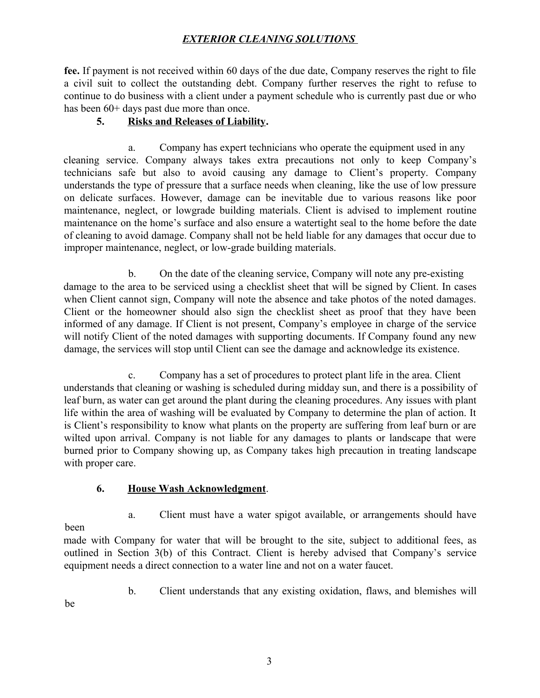**fee.** If payment is not received within 60 days of the due date, Company reserves the right to file a civil suit to collect the outstanding debt. Company further reserves the right to refuse to continue to do business with a client under a payment schedule who is currently past due or who has been  $60+$  days past due more than once.

### **5. Risks and Releases of Liability.**

a. Company has expert technicians who operate the equipment used in any cleaning service. Company always takes extra precautions not only to keep Company's technicians safe but also to avoid causing any damage to Client's property. Company understands the type of pressure that a surface needs when cleaning, like the use of low pressure on delicate surfaces. However, damage can be inevitable due to various reasons like poor maintenance, neglect, or lowgrade building materials. Client is advised to implement routine maintenance on the home's surface and also ensure a watertight seal to the home before the date of cleaning to avoid damage. Company shall not be held liable for any damages that occur due to improper maintenance, neglect, or low-grade building materials.

b. On the date of the cleaning service, Company will note any pre-existing damage to the area to be serviced using a checklist sheet that will be signed by Client. In cases when Client cannot sign, Company will note the absence and take photos of the noted damages. Client or the homeowner should also sign the checklist sheet as proof that they have been informed of any damage. If Client is not present, Company's employee in charge of the service will notify Client of the noted damages with supporting documents. If Company found any new damage, the services will stop until Client can see the damage and acknowledge its existence.

c. Company has a set of procedures to protect plant life in the area. Client understands that cleaning or washing is scheduled during midday sun, and there is a possibility of leaf burn, as water can get around the plant during the cleaning procedures. Any issues with plant life within the area of washing will be evaluated by Company to determine the plan of action. It is Client's responsibility to know what plants on the property are suffering from leaf burn or are wilted upon arrival. Company is not liable for any damages to plants or landscape that were burned prior to Company showing up, as Company takes high precaution in treating landscape with proper care.

#### **6. House Wash Acknowledgment**.

- been
- a. Client must have a water spigot available, or arrangements should have

made with Company for water that will be brought to the site, subject to additional fees, as outlined in Section 3(b) of this Contract. Client is hereby advised that Company's service equipment needs a direct connection to a water line and not on a water faucet.

b. Client understands that any existing oxidation, flaws, and blemishes will

be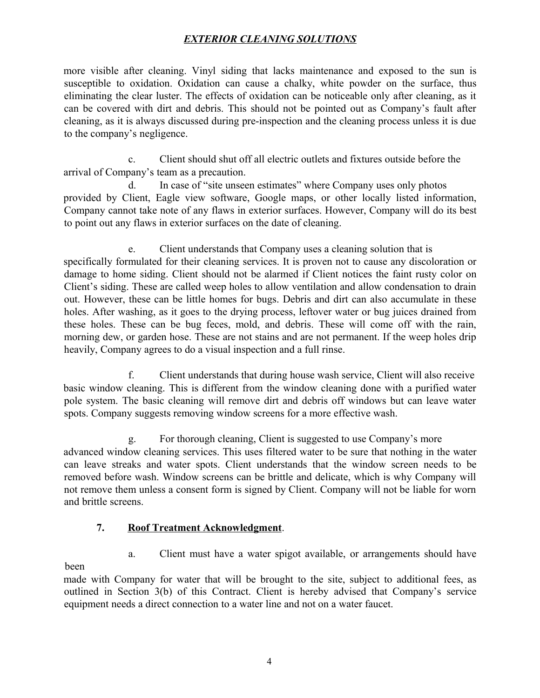more visible after cleaning. Vinyl siding that lacks maintenance and exposed to the sun is susceptible to oxidation. Oxidation can cause a chalky, white powder on the surface, thus eliminating the clear luster. The effects of oxidation can be noticeable only after cleaning, as it can be covered with dirt and debris. This should not be pointed out as Company's fault after cleaning, as it is always discussed during pre-inspection and the cleaning process unless it is due to the company's negligence.

c. Client should shut off all electric outlets and fixtures outside before the arrival of Company's team as a precaution.

d. In case of "site unseen estimates" where Company uses only photos provided by Client, Eagle view software, Google maps, or other locally listed information, Company cannot take note of any flaws in exterior surfaces. However, Company will do its best to point out any flaws in exterior surfaces on the date of cleaning.

e. Client understands that Company uses a cleaning solution that is specifically formulated for their cleaning services. It is proven not to cause any discoloration or damage to home siding. Client should not be alarmed if Client notices the faint rusty color on Client's siding. These are called weep holes to allow ventilation and allow condensation to drain out. However, these can be little homes for bugs. Debris and dirt can also accumulate in these holes. After washing, as it goes to the drying process, leftover water or bug juices drained from these holes. These can be bug feces, mold, and debris. These will come off with the rain, morning dew, or garden hose. These are not stains and are not permanent. If the weep holes drip heavily, Company agrees to do a visual inspection and a full rinse.

f. Client understands that during house wash service, Client will also receive basic window cleaning. This is different from the window cleaning done with a purified water pole system. The basic cleaning will remove dirt and debris off windows but can leave water spots. Company suggests removing window screens for a more effective wash.

g. For thorough cleaning, Client is suggested to use Company's more advanced window cleaning services. This uses filtered water to be sure that nothing in the water can leave streaks and water spots. Client understands that the window screen needs to be removed before wash. Window screens can be brittle and delicate, which is why Company will not remove them unless a consent form is signed by Client. Company will not be liable for worn and brittle screens.

#### **7. Roof Treatment Acknowledgment**.

been

a. Client must have a water spigot available, or arrangements should have

made with Company for water that will be brought to the site, subject to additional fees, as outlined in Section 3(b) of this Contract. Client is hereby advised that Company's service equipment needs a direct connection to a water line and not on a water faucet.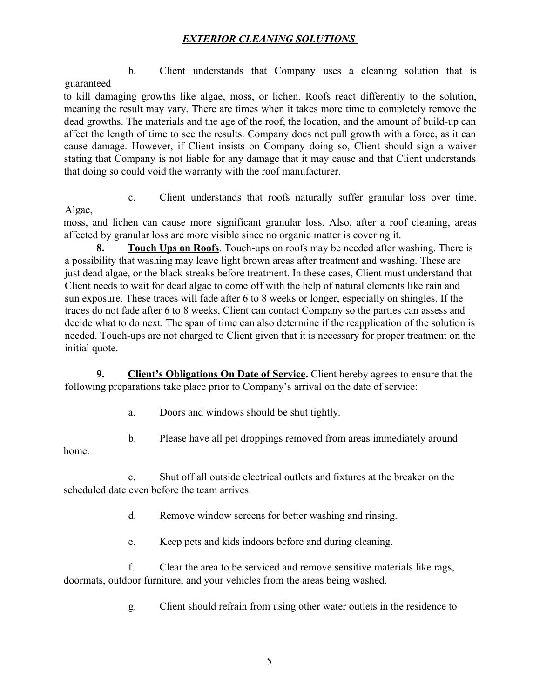b. Client understands that Company uses a cleaning solution that is guaranteed

to kill damaging growths like algae, moss, or lichen. Roofs react differently to the solution, meaning the result may vary. There are times when it takes more time to completely remove the dead growths. The materials and the age of the roof, the location, and the amount of build-up can affect the length of time to see the results. Company does not pull growth with a force, as it can cause damage. However, if Client insists on Company doing so, Client should sign a waiver stating that Company is not liable for any damage that it may cause and that Client understands that doing so could void the warranty with the roof manufacturer.

c. Client understands that roofs naturally suffer granular loss over time.

Algae,

moss, and lichen can cause more significant granular loss. Also, after a roof cleaning, areas affected by granular loss are more visible since no organic matter is covering it.

**8. Touch Ups on Roofs**. Touch-ups on roofs may be needed after washing. There is a possibility that washing may leave light brown areas after treatment and washing. These are just dead algae, or the black streaks before treatment. In these cases, Client must understand that Client needs to wait for dead algae to come off with the help of natural elements like rain and sun exposure. These traces will fade after 6 to 8 weeks or longer, especially on shingles. If the traces do not fade after 6 to 8 weeks, Client can contact Company so the parties can assess and decide what to do next. The span of time can also determine if the reapplication of the solution is needed. Touch-ups are not charged to Client given that it is necessary for proper treatment on the initial quote.

**9. Client's Obligations On Date of Service.** Client hereby agrees to ensure that the following preparations take place prior to Company's arrival on the date of service:

a. Doors and windows should be shut tightly.

b. Please have all pet droppings removed from areas immediately around

home.

c. Shut off all outside electrical outlets and fixtures at the breaker on the scheduled date even before the team arrives.

d. Remove window screens for better washing and rinsing.

e. Keep pets and kids indoors before and during cleaning.

f. Clear the area to be serviced and remove sensitive materials like rags, doormats, outdoor furniture, and your vehicles from the areas being washed.

g. Client should refrain from using other water outlets in the residence to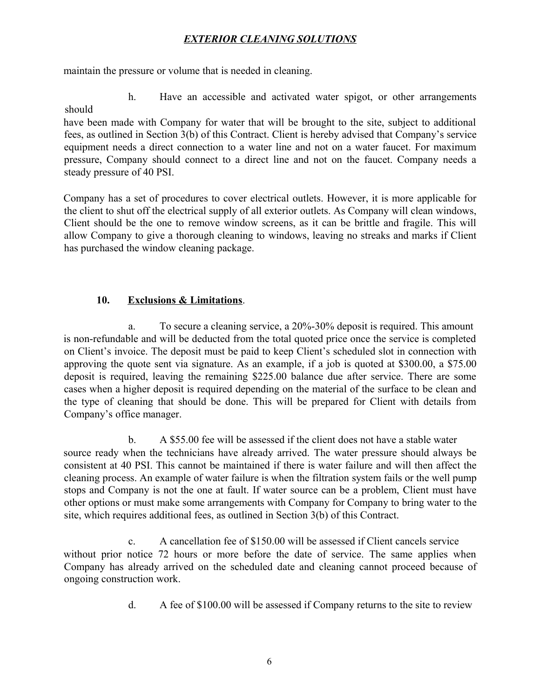maintain the pressure or volume that is needed in cleaning.

h. Have an accessible and activated water spigot, or other arrangements should

have been made with Company for water that will be brought to the site, subject to additional fees, as outlined in Section 3(b) of this Contract. Client is hereby advised that Company's service equipment needs a direct connection to a water line and not on a water faucet. For maximum pressure, Company should connect to a direct line and not on the faucet. Company needs a steady pressure of 40 PSI.

Company has a set of procedures to cover electrical outlets. However, it is more applicable for the client to shut off the electrical supply of all exterior outlets. As Company will clean windows, Client should be the one to remove window screens, as it can be brittle and fragile. This will allow Company to give a thorough cleaning to windows, leaving no streaks and marks if Client has purchased the window cleaning package.

### **10. Exclusions & Limitations**.

a. To secure a cleaning service, a 20%-30% deposit is required. This amount is non-refundable and will be deducted from the total quoted price once the service is completed on Client's invoice. The deposit must be paid to keep Client's scheduled slot in connection with approving the quote sent via signature. As an example, if a job is quoted at \$300.00, a \$75.00 deposit is required, leaving the remaining \$225.00 balance due after service. There are some cases when a higher deposit is required depending on the material of the surface to be clean and the type of cleaning that should be done. This will be prepared for Client with details from Company's office manager.

b. A \$55.00 fee will be assessed if the client does not have a stable water source ready when the technicians have already arrived. The water pressure should always be consistent at 40 PSI. This cannot be maintained if there is water failure and will then affect the cleaning process. An example of water failure is when the filtration system fails or the well pump stops and Company is not the one at fault. If water source can be a problem, Client must have other options or must make some arrangements with Company for Company to bring water to the site, which requires additional fees, as outlined in Section 3(b) of this Contract.

c. A cancellation fee of \$150.00 will be assessed if Client cancels service without prior notice 72 hours or more before the date of service. The same applies when Company has already arrived on the scheduled date and cleaning cannot proceed because of ongoing construction work.

d. A fee of \$100.00 will be assessed if Company returns to the site to review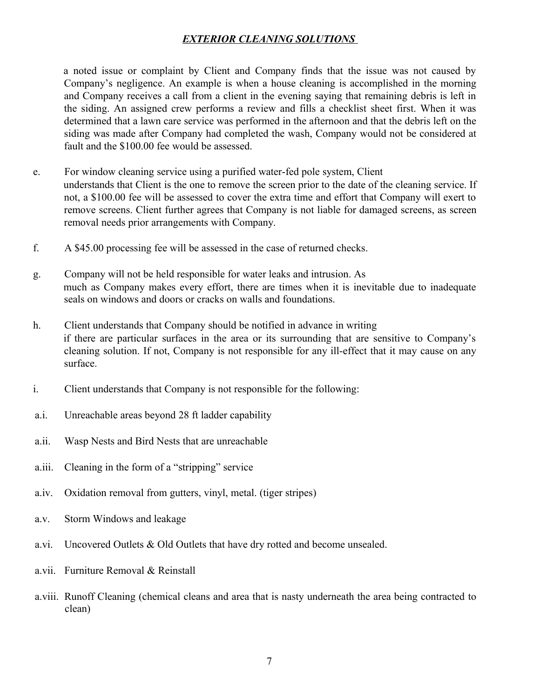a noted issue or complaint by Client and Company finds that the issue was not caused by Company's negligence. An example is when a house cleaning is accomplished in the morning and Company receives a call from a client in the evening saying that remaining debris is left in the siding. An assigned crew performs a review and fills a checklist sheet first. When it was determined that a lawn care service was performed in the afternoon and that the debris left on the siding was made after Company had completed the wash, Company would not be considered at fault and the \$100.00 fee would be assessed.

- e. For window cleaning service using a purified water-fed pole system, Client understands that Client is the one to remove the screen prior to the date of the cleaning service. If not, a \$100.00 fee will be assessed to cover the extra time and effort that Company will exert to remove screens. Client further agrees that Company is not liable for damaged screens, as screen removal needs prior arrangements with Company.
- f. A \$45.00 processing fee will be assessed in the case of returned checks.
- g. Company will not be held responsible for water leaks and intrusion. As much as Company makes every effort, there are times when it is inevitable due to inadequate seals on windows and doors or cracks on walls and foundations.
- h. Client understands that Company should be notified in advance in writing if there are particular surfaces in the area or its surrounding that are sensitive to Company's cleaning solution. If not, Company is not responsible for any ill-effect that it may cause on any surface.
- i. Client understands that Company is not responsible for the following:
- a.i. Unreachable areas beyond 28 ft ladder capability
- a.ii. Wasp Nests and Bird Nests that are unreachable
- a.iii. Cleaning in the form of a "stripping" service
- a.iv. Oxidation removal from gutters, vinyl, metal. (tiger stripes)
- a.v. Storm Windows and leakage
- a.vi. Uncovered Outlets & Old Outlets that have dry rotted and become unsealed.
- a.vii. Furniture Removal & Reinstall
- a.viii. Runoff Cleaning (chemical cleans and area that is nasty underneath the area being contracted to clean)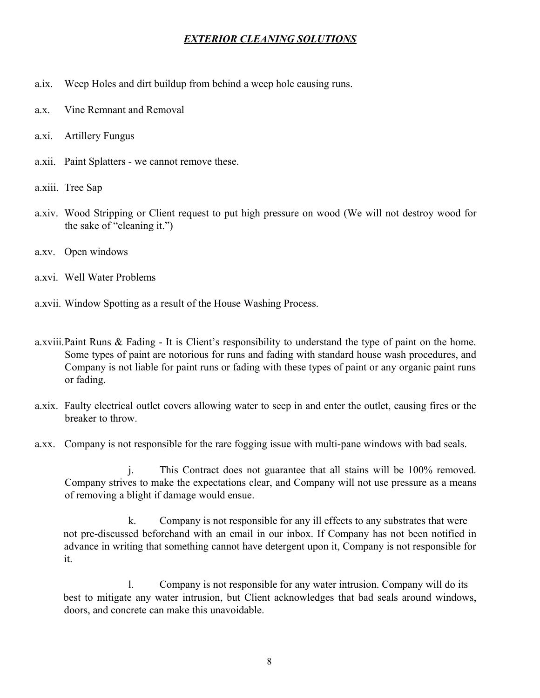- a.ix. Weep Holes and dirt buildup from behind a weep hole causing runs.
- a.x. Vine Remnant and Removal
- a.xi. Artillery Fungus
- a.xii. Paint Splatters we cannot remove these.
- a.xiii. Tree Sap
- a.xiv. Wood Stripping or Client request to put high pressure on wood (We will not destroy wood for the sake of "cleaning it.")
- a.xv. Open windows
- a.xvi. Well Water Problems
- a.xvii. Window Spotting as a result of the House Washing Process.
- a.xviii.Paint Runs & Fading It is Client's responsibility to understand the type of paint on the home. Some types of paint are notorious for runs and fading with standard house wash procedures, and Company is not liable for paint runs or fading with these types of paint or any organic paint runs or fading.
- a.xix. Faulty electrical outlet covers allowing water to seep in and enter the outlet, causing fires or the breaker to throw.
- a.xx. Company is not responsible for the rare fogging issue with multi-pane windows with bad seals.

j. This Contract does not guarantee that all stains will be 100% removed. Company strives to make the expectations clear, and Company will not use pressure as a means of removing a blight if damage would ensue.

k. Company is not responsible for any ill effects to any substrates that were not pre-discussed beforehand with an email in our inbox. If Company has not been notified in advance in writing that something cannot have detergent upon it, Company is not responsible for it.

l. Company is not responsible for any water intrusion. Company will do its best to mitigate any water intrusion, but Client acknowledges that bad seals around windows, doors, and concrete can make this unavoidable.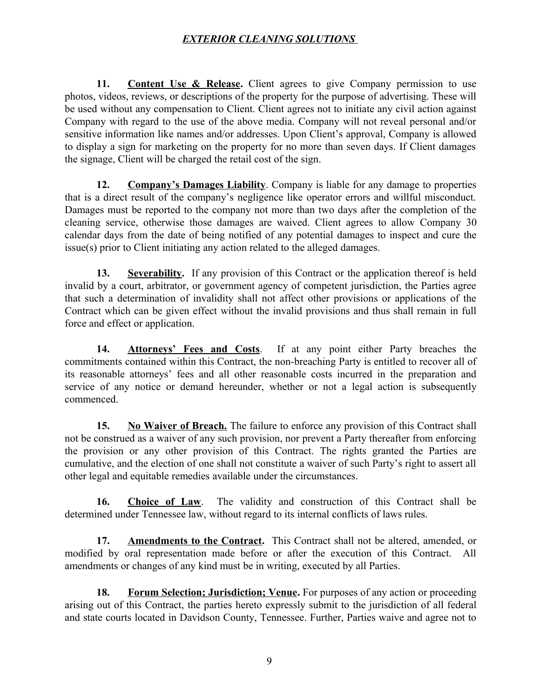**11. Content Use & Release.** Client agrees to give Company permission to use photos, videos, reviews, or descriptions of the property for the purpose of advertising. These will be used without any compensation to Client. Client agrees not to initiate any civil action against Company with regard to the use of the above media. Company will not reveal personal and/or sensitive information like names and/or addresses. Upon Client's approval, Company is allowed to display a sign for marketing on the property for no more than seven days. If Client damages the signage, Client will be charged the retail cost of the sign.

**12. Company's Damages Liability**. Company is liable for any damage to properties that is a direct result of the company's negligence like operator errors and willful misconduct. Damages must be reported to the company not more than two days after the completion of the cleaning service, otherwise those damages are waived. Client agrees to allow Company 30 calendar days from the date of being notified of any potential damages to inspect and cure the issue(s) prior to Client initiating any action related to the alleged damages.

**13. Severability.** If any provision of this Contract or the application thereof is held invalid by a court, arbitrator, or government agency of competent jurisdiction, the Parties agree that such a determination of invalidity shall not affect other provisions or applications of the Contract which can be given effect without the invalid provisions and thus shall remain in full force and effect or application.

**14. Attorneys' Fees and Costs**. If at any point either Party breaches the commitments contained within this Contract, the non-breaching Party is entitled to recover all of its reasonable attorneys' fees and all other reasonable costs incurred in the preparation and service of any notice or demand hereunder, whether or not a legal action is subsequently commenced.

**15.** No Waiver of Breach. The failure to enforce any provision of this Contract shall not be construed as a waiver of any such provision, nor prevent a Party thereafter from enforcing the provision or any other provision of this Contract. The rights granted the Parties are cumulative, and the election of one shall not constitute a waiver of such Party's right to assert all other legal and equitable remedies available under the circumstances.

**16. Choice of Law**. The validity and construction of this Contract shall be determined under Tennessee law, without regard to its internal conflicts of laws rules.

17. **Amendments to the Contract.** This Contract shall not be altered, amended, or modified by oral representation made before or after the execution of this Contract. All amendments or changes of any kind must be in writing, executed by all Parties.

**18. Forum Selection; Jurisdiction; Venue.** For purposes of any action or proceeding arising out of this Contract, the parties hereto expressly submit to the jurisdiction of all federal and state courts located in Davidson County, Tennessee. Further, Parties waive and agree not to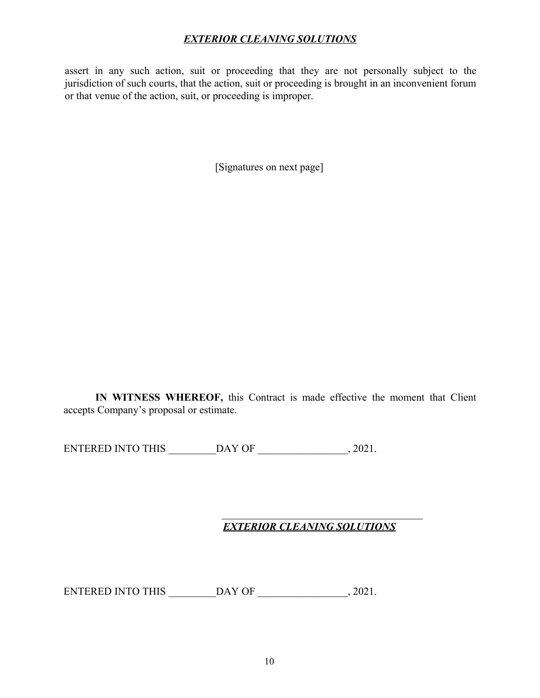assert in any such action, suit or proceeding that they are not personally subject to the jurisdiction of such courts, that the action, suit or proceeding is brought in an inconvenient forum or that venue of the action, suit, or proceeding is improper.

[Signatures on next page]

**IN WITNESS WHEREOF,** this Contract is made effective the moment that Client accepts Company's proposal or estimate.

ENTERED INTO THIS \_\_\_\_\_\_\_\_DAY OF \_\_\_\_\_\_\_\_\_\_\_\_\_\_\_\_\_, 2021.

#### *EXTERIOR CLEANING SOLUTIONS*

\_\_\_\_\_\_\_\_\_\_\_\_\_\_\_\_\_\_\_\_\_\_\_\_\_\_\_\_\_\_\_\_\_\_\_\_\_\_

ENTERED INTO THIS \_\_\_\_\_\_\_\_\_DAY OF \_\_\_\_\_\_\_\_\_\_\_\_\_\_\_\_\_, 2021.